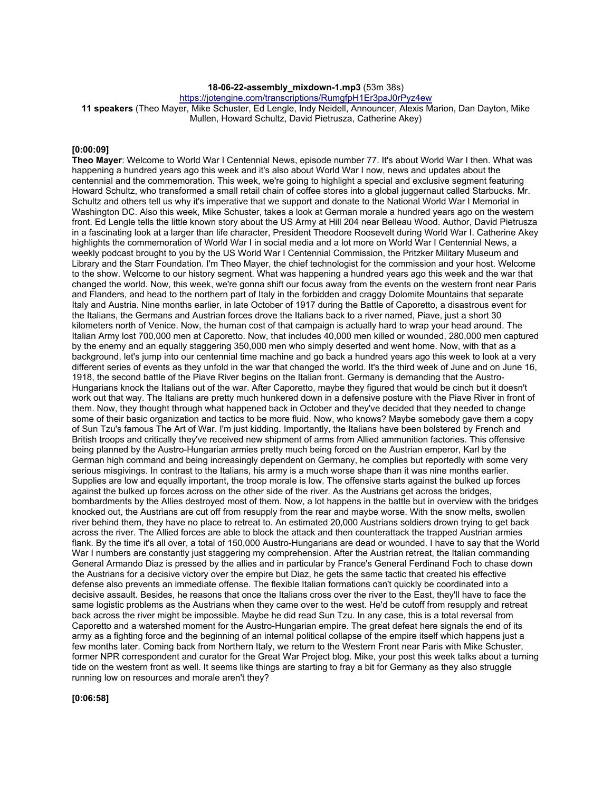# **18-06-22-assembly\_mixdown-1.mp3** (53m 38s)

https://jotengine.com/transcriptions/RumgfpH1Er3paJ0rPyz4ew

**11 speakers** (Theo Mayer, Mike Schuster, Ed Lengle, Indy Neidell, Announcer, Alexis Marion, Dan Dayton, Mike Mullen, Howard Schultz, David Pietrusza, Catherine Akey)

#### **[0:00:09]**

**Theo Mayer**: Welcome to World War I Centennial News, episode number 77. It's about World War I then. What was happening a hundred years ago this week and it's also about World War I now, news and updates about the centennial and the commemoration. This week, we're going to highlight a special and exclusive segment featuring Howard Schultz, who transformed a small retail chain of coffee stores into a global juggernaut called Starbucks. Mr. Schultz and others tell us why it's imperative that we support and donate to the National World War I Memorial in Washington DC. Also this week, Mike Schuster, takes a look at German morale a hundred years ago on the western front. Ed Lengle tells the little known story about the US Army at Hill 204 near Belleau Wood. Author, David Pietrusza in a fascinating look at a larger than life character, President Theodore Roosevelt during World War I. Catherine Akey highlights the commemoration of World War I in social media and a lot more on World War I Centennial News, a weekly podcast brought to you by the US World War I Centennial Commission, the Pritzker Military Museum and Library and the Starr Foundation. I'm Theo Mayer, the chief technologist for the commission and your host. Welcome to the show. Welcome to our history segment. What was happening a hundred years ago this week and the war that changed the world. Now, this week, we're gonna shift our focus away from the events on the western front near Paris and Flanders, and head to the northern part of Italy in the forbidden and craggy Dolomite Mountains that separate Italy and Austria. Nine months earlier, in late October of 1917 during the Battle of Caporetto, a disastrous event for the Italians, the Germans and Austrian forces drove the Italians back to a river named, Piave, just a short 30 kilometers north of Venice. Now, the human cost of that campaign is actually hard to wrap your head around. The Italian Army lost 700,000 men at Caporetto. Now, that includes 40,000 men killed or wounded, 280,000 men captured by the enemy and an equally staggering 350,000 men who simply deserted and went home. Now, with that as a background, let's jump into our centennial time machine and go back a hundred years ago this week to look at a very different series of events as they unfold in the war that changed the world. It's the third week of June and on June 16, 1918, the second battle of the Piave River begins on the Italian front. Germany is demanding that the Austro-Hungarians knock the Italians out of the war. After Caporetto, maybe they figured that would be cinch but it doesn't work out that way. The Italians are pretty much hunkered down in a defensive posture with the Piave River in front of them. Now, they thought through what happened back in October and they've decided that they needed to change some of their basic organization and tactics to be more fluid. Now, who knows? Maybe somebody gave them a copy of Sun Tzu's famous The Art of War. I'm just kidding. Importantly, the Italians have been bolstered by French and British troops and critically they've received new shipment of arms from Allied ammunition factories. This offensive being planned by the Austro-Hungarian armies pretty much being forced on the Austrian emperor, Karl by the German high command and being increasingly dependent on Germany, he complies but reportedly with some very serious misgivings. In contrast to the Italians, his army is a much worse shape than it was nine months earlier. Supplies are low and equally important, the troop morale is low. The offensive starts against the bulked up forces against the bulked up forces across on the other side of the river. As the Austrians get across the bridges, bombardments by the Allies destroyed most of them. Now, a lot happens in the battle but in overview with the bridges knocked out, the Austrians are cut off from resupply from the rear and maybe worse. With the snow melts, swollen river behind them, they have no place to retreat to. An estimated 20,000 Austrians soldiers drown trying to get back across the river. The Allied forces are able to block the attack and then counterattack the trapped Austrian armies flank. By the time it's all over, a total of 150,000 Austro-Hungarians are dead or wounded. I have to say that the World War I numbers are constantly just staggering my comprehension. After the Austrian retreat, the Italian commanding General Armando Diaz is pressed by the allies and in particular by France's General Ferdinand Foch to chase down the Austrians for a decisive victory over the empire but Diaz, he gets the same tactic that created his effective defense also prevents an immediate offense. The flexible Italian formations can't quickly be coordinated into a decisive assault. Besides, he reasons that once the Italians cross over the river to the East, they'll have to face the same logistic problems as the Austrians when they came over to the west. He'd be cutoff from resupply and retreat back across the river might be impossible. Maybe he did read Sun Tzu. In any case, this is a total reversal from Caporetto and a watershed moment for the Austro-Hungarian empire. The great defeat here signals the end of its army as a fighting force and the beginning of an internal political collapse of the empire itself which happens just a few months later. Coming back from Northern Italy, we return to the Western Front near Paris with Mike Schuster, former NPR correspondent and curator for the Great War Project blog. Mike, your post this week talks about a turning tide on the western front as well. It seems like things are starting to fray a bit for Germany as they also struggle running low on resources and morale aren't they?

**[0:06:58]**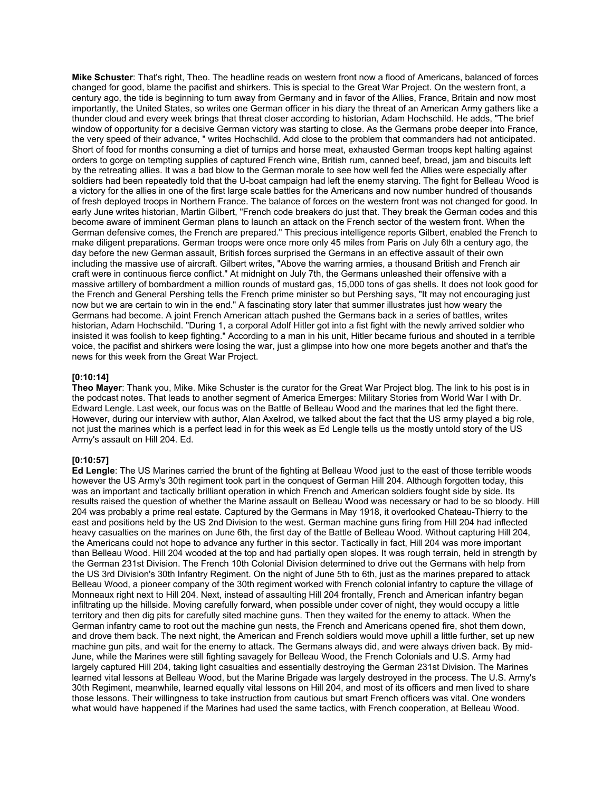**Mike Schuster**: That's right, Theo. The headline reads on western front now a flood of Americans, balanced of forces changed for good, blame the pacifist and shirkers. This is special to the Great War Project. On the western front, a century ago, the tide is beginning to turn away from Germany and in favor of the Allies, France, Britain and now most importantly, the United States, so writes one German officer in his diary the threat of an American Army gathers like a thunder cloud and every week brings that threat closer according to historian, Adam Hochschild. He adds, "The brief window of opportunity for a decisive German victory was starting to close. As the Germans probe deeper into France, the very speed of their advance, " writes Hochschild. Add close to the problem that commanders had not anticipated. Short of food for months consuming a diet of turnips and horse meat, exhausted German troops kept halting against orders to gorge on tempting supplies of captured French wine, British rum, canned beef, bread, jam and biscuits left by the retreating allies. It was a bad blow to the German morale to see how well fed the Allies were especially after soldiers had been repeatedly told that the U-boat campaign had left the enemy starving. The fight for Belleau Wood is a victory for the allies in one of the first large scale battles for the Americans and now number hundred of thousands of fresh deployed troops in Northern France. The balance of forces on the western front was not changed for good. In early June writes historian, Martin Gilbert, "French code breakers do just that. They break the German codes and this become aware of imminent German plans to launch an attack on the French sector of the western front. When the German defensive comes, the French are prepared." This precious intelligence reports Gilbert, enabled the French to make diligent preparations. German troops were once more only 45 miles from Paris on July 6th a century ago, the day before the new German assault, British forces surprised the Germans in an effective assault of their own including the massive use of aircraft. Gilbert writes, "Above the warring armies, a thousand British and French air craft were in continuous fierce conflict." At midnight on July 7th, the Germans unleashed their offensive with a massive artillery of bombardment a million rounds of mustard gas, 15,000 tons of gas shells. It does not look good for the French and General Pershing tells the French prime minister so but Pershing says, "It may not encouraging just now but we are certain to win in the end." A fascinating story later that summer illustrates just how weary the Germans had become. A joint French American attach pushed the Germans back in a series of battles, writes historian, Adam Hochschild. "During 1, a corporal Adolf Hitler got into a fist fight with the newly arrived soldier who insisted it was foolish to keep fighting." According to a man in his unit, Hitler became furious and shouted in a terrible voice, the pacifist and shirkers were losing the war, just a glimpse into how one more begets another and that's the news for this week from the Great War Project.

#### **[0:10:14]**

**Theo Mayer**: Thank you, Mike. Mike Schuster is the curator for the Great War Project blog. The link to his post is in the podcast notes. That leads to another segment of America Emerges: Military Stories from World War I with Dr. Edward Lengle. Last week, our focus was on the Battle of Belleau Wood and the marines that led the fight there. However, during our interview with author, Alan Axelrod, we talked about the fact that the US army played a big role, not just the marines which is a perfect lead in for this week as Ed Lengle tells us the mostly untold story of the US Army's assault on Hill 204. Ed.

# **[0:10:57]**

**Ed Lengle**: The US Marines carried the brunt of the fighting at Belleau Wood just to the east of those terrible woods however the US Army's 30th regiment took part in the conquest of German Hill 204. Although forgotten today, this was an important and tactically brilliant operation in which French and American soldiers fought side by side. Its results raised the question of whether the Marine assault on Belleau Wood was necessary or had to be so bloody. Hill 204 was probably a prime real estate. Captured by the Germans in May 1918, it overlooked Chateau-Thierry to the east and positions held by the US 2nd Division to the west. German machine guns firing from Hill 204 had inflected heavy casualties on the marines on June 6th, the first day of the Battle of Belleau Wood. Without capturing Hill 204, the Americans could not hope to advance any further in this sector. Tactically in fact, Hill 204 was more important than Belleau Wood. Hill 204 wooded at the top and had partially open slopes. It was rough terrain, held in strength by the German 231st Division. The French 10th Colonial Division determined to drive out the Germans with help from the US 3rd Division's 30th Infantry Regiment. On the night of June 5th to 6th, just as the marines prepared to attack Belleau Wood, a pioneer company of the 30th regiment worked with French colonial infantry to capture the village of Monneaux right next to Hill 204. Next, instead of assaulting Hill 204 frontally, French and American infantry began infiltrating up the hillside. Moving carefully forward, when possible under cover of night, they would occupy a little territory and then dig pits for carefully sited machine guns. Then they waited for the enemy to attack. When the German infantry came to root out the machine gun nests, the French and Americans opened fire, shot them down, and drove them back. The next night, the American and French soldiers would move uphill a little further, set up new machine gun pits, and wait for the enemy to attack. The Germans always did, and were always driven back. By mid-June, while the Marines were still fighting savagely for Belleau Wood, the French Colonials and U.S. Army had largely captured Hill 204, taking light casualties and essentially destroying the German 231st Division. The Marines learned vital lessons at Belleau Wood, but the Marine Brigade was largely destroyed in the process. The U.S. Army's 30th Regiment, meanwhile, learned equally vital lessons on Hill 204, and most of its officers and men lived to share those lessons. Their willingness to take instruction from cautious but smart French officers was vital. One wonders what would have happened if the Marines had used the same tactics, with French cooperation, at Belleau Wood.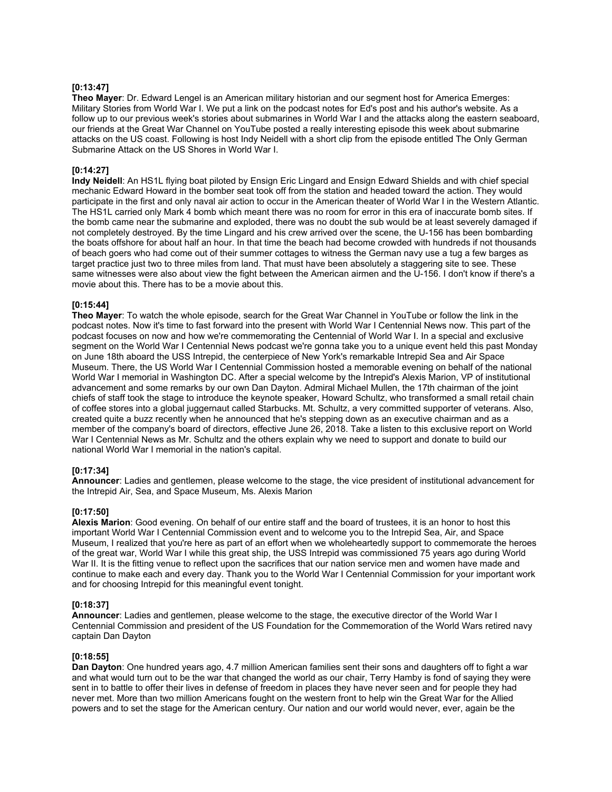# **[0:13:47]**

**Theo Mayer**: Dr. Edward Lengel is an American military historian and our segment host for America Emerges: Military Stories from World War I. We put a link on the podcast notes for Ed's post and his author's website. As a follow up to our previous week's stories about submarines in World War I and the attacks along the eastern seaboard, our friends at the Great War Channel on YouTube posted a really interesting episode this week about submarine attacks on the US coast. Following is host Indy Neidell with a short clip from the episode entitled The Only German Submarine Attack on the US Shores in World War I.

# **[0:14:27]**

**Indy Neidell**: An HS1L flying boat piloted by Ensign Eric Lingard and Ensign Edward Shields and with chief special mechanic Edward Howard in the bomber seat took off from the station and headed toward the action. They would participate in the first and only naval air action to occur in the American theater of World War I in the Western Atlantic. The HS1L carried only Mark 4 bomb which meant there was no room for error in this era of inaccurate bomb sites. If the bomb came near the submarine and exploded, there was no doubt the sub would be at least severely damaged if not completely destroyed. By the time Lingard and his crew arrived over the scene, the U-156 has been bombarding the boats offshore for about half an hour. In that time the beach had become crowded with hundreds if not thousands of beach goers who had come out of their summer cottages to witness the German navy use a tug a few barges as target practice just two to three miles from land. That must have been absolutely a staggering site to see. These same witnesses were also about view the fight between the American airmen and the U-156. I don't know if there's a movie about this. There has to be a movie about this.

# **[0:15:44]**

**Theo Mayer**: To watch the whole episode, search for the Great War Channel in YouTube or follow the link in the podcast notes. Now it's time to fast forward into the present with World War I Centennial News now. This part of the podcast focuses on now and how we're commemorating the Centennial of World War I. In a special and exclusive segment on the World War I Centennial News podcast we're gonna take you to a unique event held this past Monday on June 18th aboard the USS Intrepid, the centerpiece of New York's remarkable Intrepid Sea and Air Space Museum. There, the US World War I Centennial Commission hosted a memorable evening on behalf of the national World War I memorial in Washington DC. After a special welcome by the Intrepid's Alexis Marion, VP of institutional advancement and some remarks by our own Dan Dayton. Admiral Michael Mullen, the 17th chairman of the joint chiefs of staff took the stage to introduce the keynote speaker, Howard Schultz, who transformed a small retail chain of coffee stores into a global juggernaut called Starbucks. Mt. Schultz, a very committed supporter of veterans. Also, created quite a buzz recently when he announced that he's stepping down as an executive chairman and as a member of the company's board of directors, effective June 26, 2018. Take a listen to this exclusive report on World War I Centennial News as Mr. Schultz and the others explain why we need to support and donate to build our national World War I memorial in the nation's capital.

# **[0:17:34]**

**Announcer**: Ladies and gentlemen, please welcome to the stage, the vice president of institutional advancement for the Intrepid Air, Sea, and Space Museum, Ms. Alexis Marion

# **[0:17:50]**

**Alexis Marion**: Good evening. On behalf of our entire staff and the board of trustees, it is an honor to host this important World War I Centennial Commission event and to welcome you to the Intrepid Sea, Air, and Space Museum, I realized that you're here as part of an effort when we wholeheartedly support to commemorate the heroes of the great war, World War I while this great ship, the USS Intrepid was commissioned 75 years ago during World War II. It is the fitting venue to reflect upon the sacrifices that our nation service men and women have made and continue to make each and every day. Thank you to the World War I Centennial Commission for your important work and for choosing Intrepid for this meaningful event tonight.

# **[0:18:37]**

**Announcer**: Ladies and gentlemen, please welcome to the stage, the executive director of the World War I Centennial Commission and president of the US Foundation for the Commemoration of the World Wars retired navy captain Dan Dayton

# **[0:18:55]**

**Dan Dayton**: One hundred years ago, 4.7 million American families sent their sons and daughters off to fight a war and what would turn out to be the war that changed the world as our chair, Terry Hamby is fond of saying they were sent in to battle to offer their lives in defense of freedom in places they have never seen and for people they had never met. More than two million Americans fought on the western front to help win the Great War for the Allied powers and to set the stage for the American century. Our nation and our world would never, ever, again be the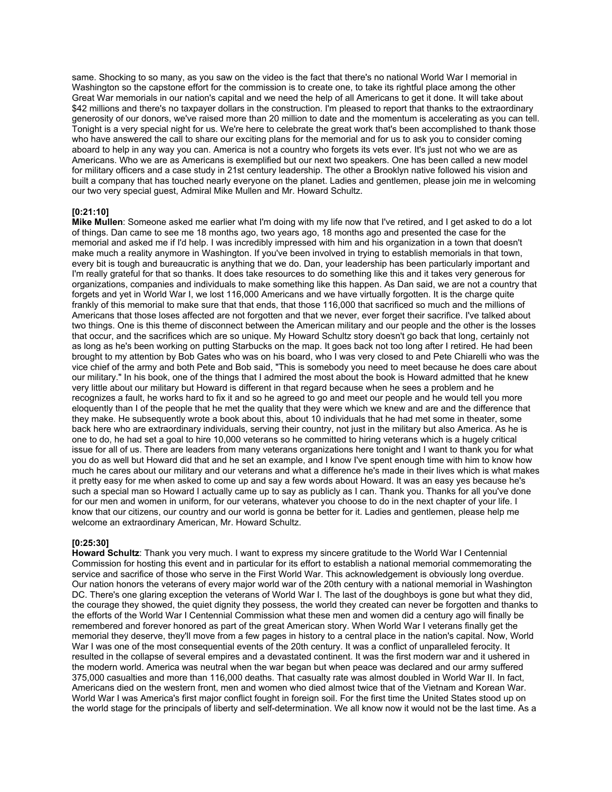same. Shocking to so many, as you saw on the video is the fact that there's no national World War I memorial in Washington so the capstone effort for the commission is to create one, to take its rightful place among the other Great War memorials in our nation's capital and we need the help of all Americans to get it done. It will take about \$42 millions and there's no taxpayer dollars in the construction. I'm pleased to report that thanks to the extraordinary generosity of our donors, we've raised more than 20 million to date and the momentum is accelerating as you can tell. Tonight is a very special night for us. We're here to celebrate the great work that's been accomplished to thank those who have answered the call to share our exciting plans for the memorial and for us to ask you to consider coming aboard to help in any way you can. America is not a country who forgets its vets ever. It's just not who we are as Americans. Who we are as Americans is exemplified but our next two speakers. One has been called a new model for military officers and a case study in 21st century leadership. The other a Brooklyn native followed his vision and built a company that has touched nearly everyone on the planet. Ladies and gentlemen, please join me in welcoming our two very special guest, Admiral Mike Mullen and Mr. Howard Schultz.

### **[0:21:10]**

**Mike Mullen**: Someone asked me earlier what I'm doing with my life now that I've retired, and I get asked to do a lot of things. Dan came to see me 18 months ago, two years ago, 18 months ago and presented the case for the memorial and asked me if I'd help. I was incredibly impressed with him and his organization in a town that doesn't make much a reality anymore in Washington. If you've been involved in trying to establish memorials in that town, every bit is tough and bureaucratic is anything that we do. Dan, your leadership has been particularly important and I'm really grateful for that so thanks. It does take resources to do something like this and it takes very generous for organizations, companies and individuals to make something like this happen. As Dan said, we are not a country that forgets and yet in World War I, we lost 116,000 Americans and we have virtually forgotten. It is the charge quite frankly of this memorial to make sure that that ends, that those 116,000 that sacrificed so much and the millions of Americans that those loses affected are not forgotten and that we never, ever forget their sacrifice. I've talked about two things. One is this theme of disconnect between the American military and our people and the other is the losses that occur, and the sacrifices which are so unique. My Howard Schultz story doesn't go back that long, certainly not as long as he's been working on putting Starbucks on the map. It goes back not too long after I retired. He had been brought to my attention by Bob Gates who was on his board, who I was very closed to and Pete Chiarelli who was the vice chief of the army and both Pete and Bob said, "This is somebody you need to meet because he does care about our military." In his book, one of the things that I admired the most about the book is Howard admitted that he knew very little about our military but Howard is different in that regard because when he sees a problem and he recognizes a fault, he works hard to fix it and so he agreed to go and meet our people and he would tell you more eloquently than I of the people that he met the quality that they were which we knew and are and the difference that they make. He subsequently wrote a book about this, about 10 individuals that he had met some in theater, some back here who are extraordinary individuals, serving their country, not just in the military but also America. As he is one to do, he had set a goal to hire 10,000 veterans so he committed to hiring veterans which is a hugely critical issue for all of us. There are leaders from many veterans organizations here tonight and I want to thank you for what you do as well but Howard did that and he set an example, and I know I've spent enough time with him to know how much he cares about our military and our veterans and what a difference he's made in their lives which is what makes it pretty easy for me when asked to come up and say a few words about Howard. It was an easy yes because he's such a special man so Howard I actually came up to say as publicly as I can. Thank you. Thanks for all you've done for our men and women in uniform, for our veterans, whatever you choose to do in the next chapter of your life. I know that our citizens, our country and our world is gonna be better for it. Ladies and gentlemen, please help me welcome an extraordinary American, Mr. Howard Schultz.

#### **[0:25:30]**

**Howard Schultz**: Thank you very much. I want to express my sincere gratitude to the World War I Centennial Commission for hosting this event and in particular for its effort to establish a national memorial commemorating the service and sacrifice of those who serve in the First World War. This acknowledgement is obviously long overdue. Our nation honors the veterans of every major world war of the 20th century with a national memorial in Washington DC. There's one glaring exception the veterans of World War I. The last of the doughboys is gone but what they did, the courage they showed, the quiet dignity they possess, the world they created can never be forgotten and thanks to the efforts of the World War I Centennial Commission what these men and women did a century ago will finally be remembered and forever honored as part of the great American story. When World War I veterans finally get the memorial they deserve, they'll move from a few pages in history to a central place in the nation's capital. Now, World War I was one of the most consequential events of the 20th century. It was a conflict of unparalleled ferocity. It resulted in the collapse of several empires and a devastated continent. It was the first modern war and it ushered in the modern world. America was neutral when the war began but when peace was declared and our army suffered 375,000 casualties and more than 116,000 deaths. That casualty rate was almost doubled in World War II. In fact, Americans died on the western front, men and women who died almost twice that of the Vietnam and Korean War. World War I was America's first major conflict fought in foreign soil. For the first time the United States stood up on the world stage for the principals of liberty and self-determination. We all know now it would not be the last time. As a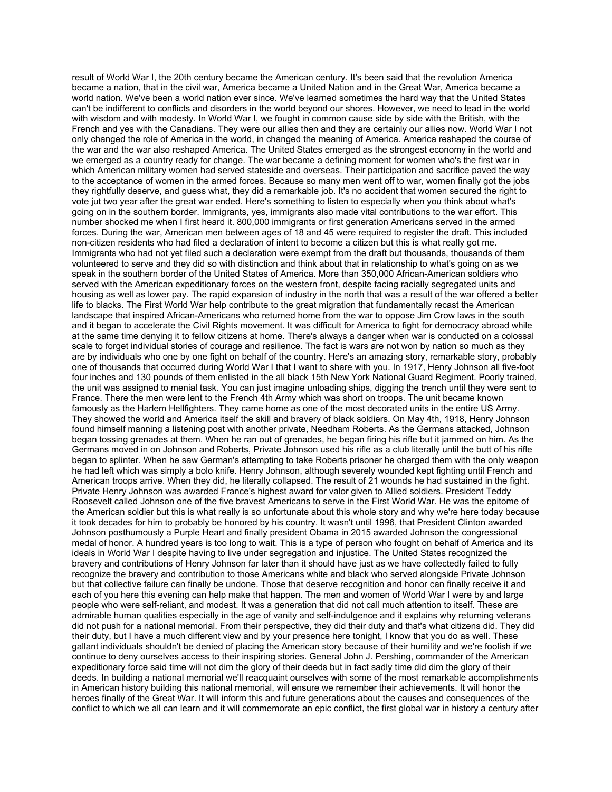result of World War I, the 20th century became the American century. It's been said that the revolution America became a nation, that in the civil war, America became a United Nation and in the Great War, America became a world nation. We've been a world nation ever since. We've learned sometimes the hard way that the United States can't be indifferent to conflicts and disorders in the world beyond our shores. However, we need to lead in the world with wisdom and with modesty. In World War I, we fought in common cause side by side with the British, with the French and yes with the Canadians. They were our allies then and they are certainly our allies now. World War I not only changed the role of America in the world, in changed the meaning of America. America reshaped the course of the war and the war also reshaped America. The United States emerged as the strongest economy in the world and we emerged as a country ready for change. The war became a defining moment for women who's the first war in which American military women had served stateside and overseas. Their participation and sacrifice paved the way to the acceptance of women in the armed forces. Because so many men went off to war, women finally got the jobs they rightfully deserve, and guess what, they did a remarkable job. It's no accident that women secured the right to vote jut two year after the great war ended. Here's something to listen to especially when you think about what's going on in the southern border. Immigrants, yes, immigrants also made vital contributions to the war effort. This number shocked me when I first heard it. 800,000 immigrants or first generation Americans served in the armed forces. During the war, American men between ages of 18 and 45 were required to register the draft. This included non-citizen residents who had filed a declaration of intent to become a citizen but this is what really got me. Immigrants who had not yet filed such a declaration were exempt from the draft but thousands, thousands of them volunteered to serve and they did so with distinction and think about that in relationship to what's going on as we speak in the southern border of the United States of America. More than 350,000 African-American soldiers who served with the American expeditionary forces on the western front, despite facing racially segregated units and housing as well as lower pay. The rapid expansion of industry in the north that was a result of the war offered a better life to blacks. The First World War help contribute to the great migration that fundamentally recast the American landscape that inspired African-Americans who returned home from the war to oppose Jim Crow laws in the south and it began to accelerate the Civil Rights movement. It was difficult for America to fight for democracy abroad while at the same time denying it to fellow citizens at home. There's always a danger when war is conducted on a colossal scale to forget individual stories of courage and resilience. The fact is wars are not won by nation so much as they are by individuals who one by one fight on behalf of the country. Here's an amazing story, remarkable story, probably one of thousands that occurred during World War I that I want to share with you. In 1917, Henry Johnson all five-foot four inches and 130 pounds of them enlisted in the all black 15th New York National Guard Regiment. Poorly trained, the unit was assigned to menial task. You can just imagine unloading ships, digging the trench until they were sent to France. There the men were lent to the French 4th Army which was short on troops. The unit became known famously as the Harlem Hellfighters. They came home as one of the most decorated units in the entire US Army. They showed the world and America itself the skill and bravery of black soldiers. On May 4th, 1918, Henry Johnson found himself manning a listening post with another private, Needham Roberts. As the Germans attacked, Johnson began tossing grenades at them. When he ran out of grenades, he began firing his rifle but it jammed on him. As the Germans moved in on Johnson and Roberts, Private Johnson used his rifle as a club literally until the butt of his rifle began to splinter. When he saw German's attempting to take Roberts prisoner he charged them with the only weapon he had left which was simply a bolo knife. Henry Johnson, although severely wounded kept fighting until French and American troops arrive. When they did, he literally collapsed. The result of 21 wounds he had sustained in the fight. Private Henry Johnson was awarded France's highest award for valor given to Allied soldiers. President Teddy Roosevelt called Johnson one of the five bravest Americans to serve in the First World War. He was the epitome of the American soldier but this is what really is so unfortunate about this whole story and why we're here today because it took decades for him to probably be honored by his country. It wasn't until 1996, that President Clinton awarded Johnson posthumously a Purple Heart and finally president Obama in 2015 awarded Johnson the congressional medal of honor. A hundred years is too long to wait. This is a type of person who fought on behalf of America and its ideals in World War I despite having to live under segregation and injustice. The United States recognized the bravery and contributions of Henry Johnson far later than it should have just as we have collectedly failed to fully recognize the bravery and contribution to those Americans white and black who served alongside Private Johnson but that collective failure can finally be undone. Those that deserve recognition and honor can finally receive it and each of you here this evening can help make that happen. The men and women of World War I were by and large people who were self-reliant, and modest. It was a generation that did not call much attention to itself. These are admirable human qualities especially in the age of vanity and self-indulgence and it explains why returning veterans did not push for a national memorial. From their perspective, they did their duty and that's what citizens did. They did their duty, but I have a much different view and by your presence here tonight, I know that you do as well. These gallant individuals shouldn't be denied of placing the American story because of their humility and we're foolish if we continue to deny ourselves access to their inspiring stories. General John J. Pershing, commander of the American expeditionary force said time will not dim the glory of their deeds but in fact sadly time did dim the glory of their deeds. In building a national memorial we'll reacquaint ourselves with some of the most remarkable accomplishments in American history building this national memorial, will ensure we remember their achievements. It will honor the heroes finally of the Great War. It will inform this and future generations about the causes and consequences of the conflict to which we all can learn and it will commemorate an epic conflict, the first global war in history a century after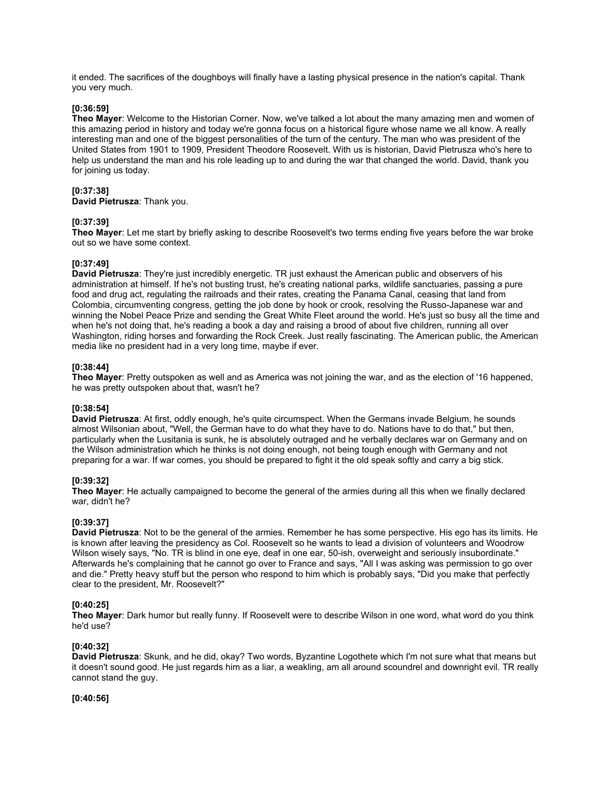it ended. The sacrifices of the doughboys will finally have a lasting physical presence in the nation's capital. Thank you very much.

### **[0:36:59]**

**Theo Mayer**: Welcome to the Historian Corner. Now, we've talked a lot about the many amazing men and women of this amazing period in history and today we're gonna focus on a historical figure whose name we all know. A really interesting man and one of the biggest personalities of the turn of the century. The man who was president of the United States from 1901 to 1909, President Theodore Roosevelt. With us is historian, David Pietrusza who's here to help us understand the man and his role leading up to and during the war that changed the world. David, thank you for joining us today.

### **[0:37:38]**

**David Pietrusza**: Thank you.

#### **[0:37:39]**

**Theo Mayer**: Let me start by briefly asking to describe Roosevelt's two terms ending five years before the war broke out so we have some context.

#### **[0:37:49]**

**David Pietrusza**: They're just incredibly energetic. TR just exhaust the American public and observers of his administration at himself. If he's not busting trust, he's creating national parks, wildlife sanctuaries, passing a pure food and drug act, regulating the railroads and their rates, creating the Panama Canal, ceasing that land from Colombia, circumventing congress, getting the job done by hook or crook, resolving the Russo-Japanese war and winning the Nobel Peace Prize and sending the Great White Fleet around the world. He's just so busy all the time and when he's not doing that, he's reading a book a day and raising a brood of about five children, running all over Washington, riding horses and forwarding the Rock Creek. Just really fascinating. The American public, the American media like no president had in a very long time, maybe if ever.

### **[0:38:44]**

**Theo Mayer**: Pretty outspoken as well and as America was not joining the war, and as the election of '16 happened, he was pretty outspoken about that, wasn't he?

#### **[0:38:54]**

**David Pietrusza**: At first, oddly enough, he's quite circumspect. When the Germans invade Belgium, he sounds almost Wilsonian about, "Well, the German have to do what they have to do. Nations have to do that," but then, particularly when the Lusitania is sunk, he is absolutely outraged and he verbally declares war on Germany and on the Wilson administration which he thinks is not doing enough, not being tough enough with Germany and not preparing for a war. If war comes, you should be prepared to fight it the old speak softly and carry a big stick.

# **[0:39:32]**

**Theo Mayer**: He actually campaigned to become the general of the armies during all this when we finally declared war, didn't he?

# **[0:39:37]**

**David Pietrusza**: Not to be the general of the armies. Remember he has some perspective. His ego has its limits. He is known after leaving the presidency as Col. Roosevelt so he wants to lead a division of volunteers and Woodrow Wilson wisely says, "No. TR is blind in one eye, deaf in one ear, 50-ish, overweight and seriously insubordinate." Afterwards he's complaining that he cannot go over to France and says, "All I was asking was permission to go over and die." Pretty heavy stuff but the person who respond to him which is probably says, "Did you make that perfectly clear to the president, Mr. Roosevelt?"

#### **[0:40:25]**

**Theo Mayer**: Dark humor but really funny. If Roosevelt were to describe Wilson in one word, what word do you think he'd use?

# **[0:40:32]**

**David Pietrusza**: Skunk, and he did, okay? Two words, Byzantine Logothete which I'm not sure what that means but it doesn't sound good. He just regards him as a liar, a weakling, am all around scoundrel and downright evil. TR really cannot stand the guy.

# **[0:40:56]**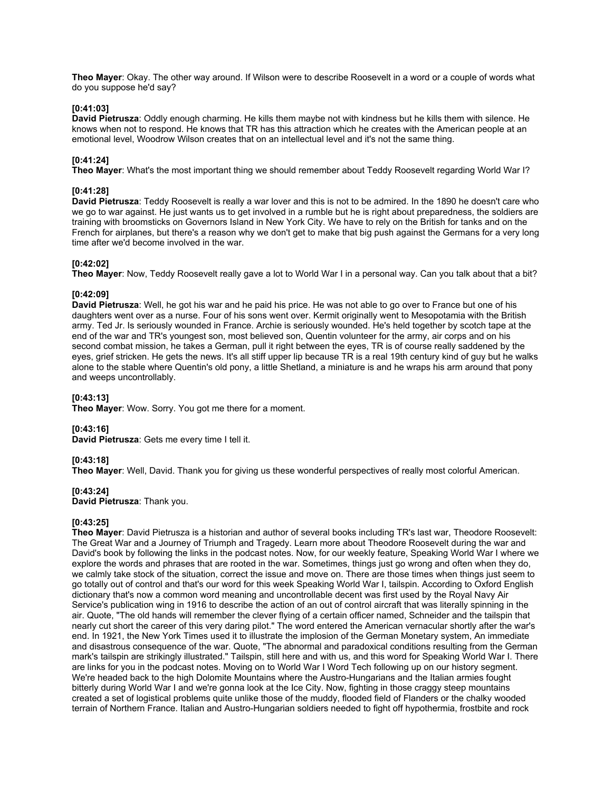**Theo Mayer**: Okay. The other way around. If Wilson were to describe Roosevelt in a word or a couple of words what do you suppose he'd say?

# **[0:41:03]**

**David Pietrusza**: Oddly enough charming. He kills them maybe not with kindness but he kills them with silence. He knows when not to respond. He knows that TR has this attraction which he creates with the American people at an emotional level, Woodrow Wilson creates that on an intellectual level and it's not the same thing.

# **[0:41:24]**

**Theo Mayer**: What's the most important thing we should remember about Teddy Roosevelt regarding World War I?

#### **[0:41:28]**

**David Pietrusza**: Teddy Roosevelt is really a war lover and this is not to be admired. In the 1890 he doesn't care who we go to war against. He just wants us to get involved in a rumble but he is right about preparedness, the soldiers are training with broomsticks on Governors Island in New York City. We have to rely on the British for tanks and on the French for airplanes, but there's a reason why we don't get to make that big push against the Germans for a very long time after we'd become involved in the war.

#### **[0:42:02]**

**Theo Mayer**: Now, Teddy Roosevelt really gave a lot to World War I in a personal way. Can you talk about that a bit?

#### **[0:42:09]**

**David Pietrusza**: Well, he got his war and he paid his price. He was not able to go over to France but one of his daughters went over as a nurse. Four of his sons went over. Kermit originally went to Mesopotamia with the British army. Ted Jr. Is seriously wounded in France. Archie is seriously wounded. He's held together by scotch tape at the end of the war and TR's youngest son, most believed son, Quentin volunteer for the army, air corps and on his second combat mission, he takes a German, pull it right between the eyes, TR is of course really saddened by the eyes, grief stricken. He gets the news. It's all stiff upper lip because TR is a real 19th century kind of guy but he walks alone to the stable where Quentin's old pony, a little Shetland, a miniature is and he wraps his arm around that pony and weeps uncontrollably.

### **[0:43:13]**

**Theo Mayer**: Wow. Sorry. You got me there for a moment.

# **[0:43:16]**

**David Pietrusza**: Gets me every time I tell it.

# **[0:43:18]**

**Theo Mayer**: Well, David. Thank you for giving us these wonderful perspectives of really most colorful American.

#### **[0:43:24]**

**David Pietrusza**: Thank you.

# **[0:43:25]**

**Theo Mayer**: David Pietrusza is a historian and author of several books including TR's last war, Theodore Roosevelt: The Great War and a Journey of Triumph and Tragedy. Learn more about Theodore Roosevelt during the war and David's book by following the links in the podcast notes. Now, for our weekly feature, Speaking World War I where we explore the words and phrases that are rooted in the war. Sometimes, things just go wrong and often when they do, we calmly take stock of the situation, correct the issue and move on. There are those times when things just seem to go totally out of control and that's our word for this week Speaking World War I, tailspin. According to Oxford English dictionary that's now a common word meaning and uncontrollable decent was first used by the Royal Navy Air Service's publication wing in 1916 to describe the action of an out of control aircraft that was literally spinning in the air. Quote, "The old hands will remember the clever flying of a certain officer named, Schneider and the tailspin that nearly cut short the career of this very daring pilot." The word entered the American vernacular shortly after the war's end. In 1921, the New York Times used it to illustrate the implosion of the German Monetary system, An immediate and disastrous consequence of the war. Quote, "The abnormal and paradoxical conditions resulting from the German mark's tailspin are strikingly illustrated." Tailspin, still here and with us, and this word for Speaking World War I. There are links for you in the podcast notes. Moving on to World War I Word Tech following up on our history segment. We're headed back to the high Dolomite Mountains where the Austro-Hungarians and the Italian armies fought bitterly during World War I and we're gonna look at the Ice City. Now, fighting in those craggy steep mountains created a set of logistical problems quite unlike those of the muddy, flooded field of Flanders or the chalky wooded terrain of Northern France. Italian and Austro-Hungarian soldiers needed to fight off hypothermia, frostbite and rock